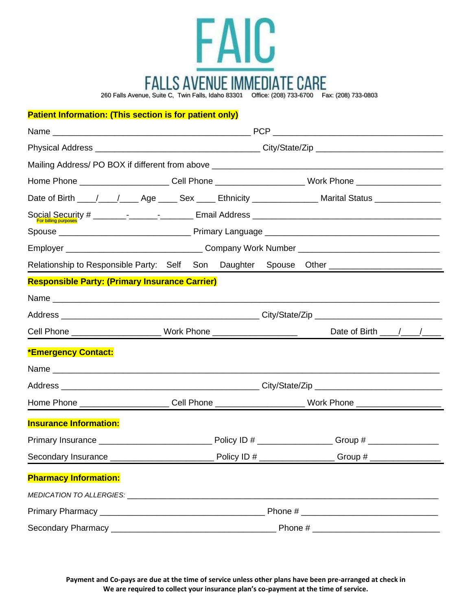

**Patient Information: (This section is for patient only)**

|                                                                                                                                                                                                                               |                                                                                                                                    |  |  |                                                                                                                | Home Phone ________________________Cell Phone _________________________Work Phone ____________________________                                                                                                                 |  |
|-------------------------------------------------------------------------------------------------------------------------------------------------------------------------------------------------------------------------------|------------------------------------------------------------------------------------------------------------------------------------|--|--|----------------------------------------------------------------------------------------------------------------|--------------------------------------------------------------------------------------------------------------------------------------------------------------------------------------------------------------------------------|--|
|                                                                                                                                                                                                                               |                                                                                                                                    |  |  |                                                                                                                | Date of Birth ____/____/_____ Age _____ Sex _____ Ethnicity ________________ Marital Status _________________                                                                                                                  |  |
|                                                                                                                                                                                                                               |                                                                                                                                    |  |  |                                                                                                                |                                                                                                                                                                                                                                |  |
|                                                                                                                                                                                                                               |                                                                                                                                    |  |  |                                                                                                                |                                                                                                                                                                                                                                |  |
|                                                                                                                                                                                                                               |                                                                                                                                    |  |  |                                                                                                                |                                                                                                                                                                                                                                |  |
|                                                                                                                                                                                                                               |                                                                                                                                    |  |  |                                                                                                                | Relationship to Responsible Party: Self Son Daughter Spouse Other [100] [100] Ness and Delationship to Responsible Party: Self Son Daughter Spouse Other [100] [100] [100] [100] [100] [100] [100] [100] [100] [100] [100] [10 |  |
| <b>Responsible Party: (Primary Insurance Carrier)</b>                                                                                                                                                                         |                                                                                                                                    |  |  |                                                                                                                |                                                                                                                                                                                                                                |  |
|                                                                                                                                                                                                                               |                                                                                                                                    |  |  |                                                                                                                |                                                                                                                                                                                                                                |  |
|                                                                                                                                                                                                                               |                                                                                                                                    |  |  |                                                                                                                |                                                                                                                                                                                                                                |  |
| Cell Phone ________________________________ Work Phone _________________________                                                                                                                                              |                                                                                                                                    |  |  |                                                                                                                | Date of Birth $\frac{\sqrt{2}}{2}$                                                                                                                                                                                             |  |
| <b>*Emergency Contact:</b>                                                                                                                                                                                                    |                                                                                                                                    |  |  |                                                                                                                |                                                                                                                                                                                                                                |  |
|                                                                                                                                                                                                                               |                                                                                                                                    |  |  |                                                                                                                |                                                                                                                                                                                                                                |  |
|                                                                                                                                                                                                                               |                                                                                                                                    |  |  |                                                                                                                |                                                                                                                                                                                                                                |  |
|                                                                                                                                                                                                                               |                                                                                                                                    |  |  | Home Phone ________________________Cell Phone __________________________Work Phone ___________________________ |                                                                                                                                                                                                                                |  |
| <b>Insurance Information:</b>                                                                                                                                                                                                 |                                                                                                                                    |  |  |                                                                                                                |                                                                                                                                                                                                                                |  |
|                                                                                                                                                                                                                               |                                                                                                                                    |  |  |                                                                                                                |                                                                                                                                                                                                                                |  |
|                                                                                                                                                                                                                               |                                                                                                                                    |  |  |                                                                                                                |                                                                                                                                                                                                                                |  |
| <b>Pharmacy Information:</b>                                                                                                                                                                                                  |                                                                                                                                    |  |  |                                                                                                                |                                                                                                                                                                                                                                |  |
| MEDICATION TO ALLERGIES: North and the material and the material and the material and the material and the material and the material and the material and the material and the material and the material and the material and |                                                                                                                                    |  |  |                                                                                                                |                                                                                                                                                                                                                                |  |
|                                                                                                                                                                                                                               |                                                                                                                                    |  |  |                                                                                                                |                                                                                                                                                                                                                                |  |
|                                                                                                                                                                                                                               | Phone $#_$<br><u> 1980 - Jan Barbara, manazarta da kasas da shekara 1980 - Ang Barbara na Barbara na Barbara na Barbara na Bar</u> |  |  |                                                                                                                |                                                                                                                                                                                                                                |  |

**Payment and Co-pays are due at the time of service unless other plans have been pre-arranged at check in We are required to collect your insurance plan's co-payment at the time of service.**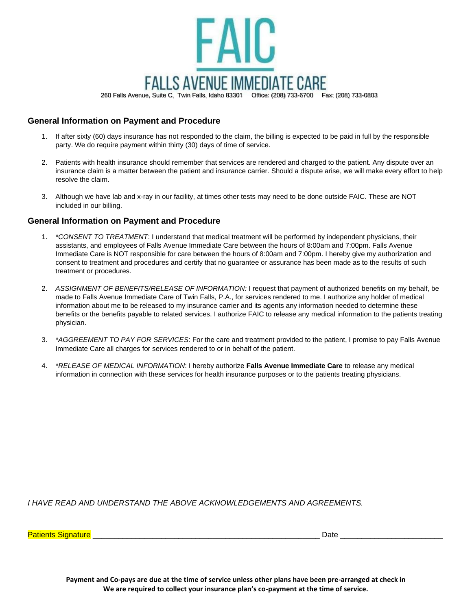

**General Information on Payment and Procedure**

- 1. If after sixty (60) days insurance has not responded to the claim, the billing is expected to be paid in full by the responsible party. We do require payment within thirty (30) days of time of service.
- 2. Patients with health insurance should remember that services are rendered and charged to the patient. Any dispute over an insurance claim is a matter between the patient and insurance carrier. Should a dispute arise, we will make every effort to help resolve the claim.
- 3. Although we have lab and x-ray in our facility, at times other tests may need to be done outside FAIC. These are NOT included in our billing.

## **General Information on Payment and Procedure**

- 1. *\*CONSENT TO TREATMENT*: I understand that medical treatment will be performed by independent physicians, their assistants, and employees of Falls Avenue Immediate Care between the hours of 8:00am and 7:00pm. Falls Avenue Immediate Care is NOT responsible for care between the hours of 8:00am and 7:00pm. I hereby give my authorization and consent to treatment and procedures and certify that no guarantee or assurance has been made as to the results of such treatment or procedures.
- 2. *ASSIGNMENT OF BENEFITS/RELEASE OF INFORMATION:* I request that payment of authorized benefits on my behalf, be made to Falls Avenue Immediate Care of Twin Falls, P.A., for services rendered to me. I authorize any holder of medical information about me to be released to my insurance carrier and its agents any information needed to determine these benefits or the benefits payable to related services. I authorize FAIC to release any medical information to the patients treating physician.
- 3. *\*AGGREEMENT TO PAY FOR SERVICES*: For the care and treatment provided to the patient, I promise to pay Falls Avenue Immediate Care all charges for services rendered to or in behalf of the patient.
- 4. *\*RELEASE OF MEDICAL INFORMATION*: I hereby authorize **Falls Avenue Immediate Care** to release any medical information in connection with these services for health insurance purposes or to the patients treating physicians.

*I HAVE READ AND UNDERSTAND THE ABOVE ACKNOWLEDGEMENTS AND AGREEMENTS.*

Patients Signature **Exercise Signature** and the set of the set of the set of the set of the set of the set of the set of the set of the set of the set of the set of the set of the set of the set of the set of the set of th

**Payment and Co-pays are due at the time of service unless other plans have been pre-arranged at check in We are required to collect your insurance plan's co-payment at the time of service.**